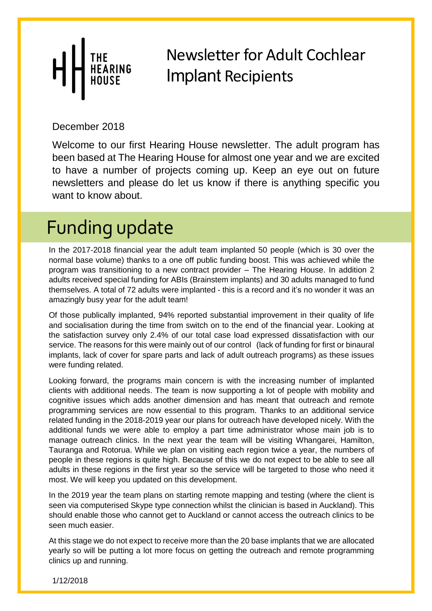From the Northern CI

December 2018

been based at The Hearing House for almost one year and we are excited Welcome to our first Hearing House newsletter. The adult program has to have a number of projects coming up. Keep an eye out on future newsletters and please do let us know if there is anything specific you want to know about.

## Funding update

In the 2017-2018 financial year the adult team implanted 50 people (which is 30 over the normal base volume) thanks to a one off public funding boost. This was achieved while the program was transitioning to a new contract provider – The Hearing House. In addition 2 adults received special funding for ABIs (Brainstem implants) and 30 adults managed to fund themselves. A total of 72 adults were implanted - this is a record and it's no wonder it was an amazingly busy year for the adult team!

Of those publically implanted, 94% reported substantial improvement in their quality of life and socialisation during the time from switch on to the end of the financial year. Looking at the satisfaction survey only 2.4% of our total case load expressed dissatisfaction with our service. The reasons for this were mainly out of our control (lack of funding for first or binaural implants, lack of cover for spare parts and lack of adult outreach programs) as these issues were funding related.

Looking forward, the programs main concern is with the increasing number of implanted clients with additional needs. The team is now supporting a lot of people with mobility and cognitive issues which adds another dimension and has meant that outreach and remote programming services are now essential to this program. Thanks to an additional service related funding in the 2018-2019 year our plans for outreach have developed nicely. With the additional funds we were able to employ a part time administrator whose main job is to manage outreach clinics. In the next year the team will be visiting Whangarei, Hamilton, Tauranga and Rotorua. While we plan on visiting each region twice a year, the numbers of people in these regions is quite high. Because of this we do not expect to be able to see all adults in these regions in the first year so the service will be targeted to those who need it most. We will keep you updated on this development.

In the 2019 year the team plans on starting remote mapping and testing (where the client is seen via computerised Skype type connection whilst the clinician is based in Auckland). This should enable those who cannot get to Auckland or cannot access the outreach clinics to be seen much easier.

At this stage we do not expect to receive more than the 20 base implants that we are allocated yearly so will be putting a lot more focus on getting the outreach and remote programming clinics up and running.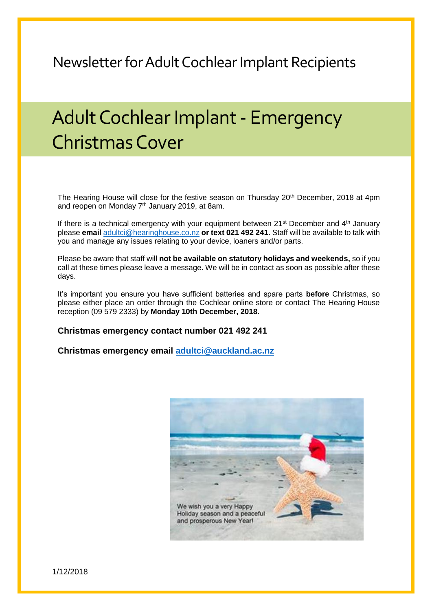## Adult Cochlear Implant- Emergency Christmas Cover

The Hearing House will close for the festive season on Thursday 20<sup>th</sup> December, 2018 at 4pm and reopen on Monday  $7<sup>th</sup>$  January 2019, at 8am.

If there is a technical emergency with your equipment between  $21^{st}$  December and  $4^{th}$  January please **email** [adultci@hearinghouse.co.nz](mailto:adultci@hearinghouse.co.nz) **or text 021 492 241.** Staff will be available to talk with you and manage any issues relating to your device, loaners and/or parts.

Please be aware that staff will **not be available on statutory holidays and weekends,** so if you call at these times please leave a message. We will be in contact as soon as possible after these days.

It's important you ensure you have sufficient batteries and spare parts **before** Christmas, so please either place an order through the Cochlear online store or contact The Hearing House reception (09 579 2333) by **Monday 10th December, 2018**.

#### **Christmas emergency contact number 021 492 241**

**Christmas emergency email [adultci@auckland.ac.nz](mailto:adultci@auckland.ac.nz)**

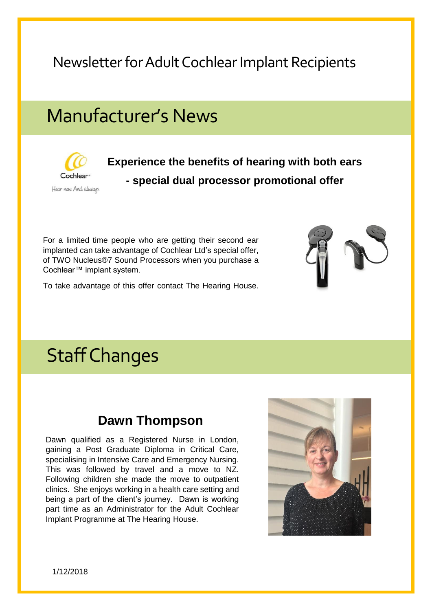## Manufacturer's News



**Experience the benefits of hearing with both ears - special dual processor promotional offer**

For a limited time people who are getting their second ear implanted can take advantage of Cochlear Ltd's special offer, of TWO Nucleus®7 Sound Processors when you purchase a Cochlear™ implant system.

To take advantage of this offer contact The Hearing House.



## Staff Changes

#### **Dawn Thompson**

Dawn qualified as a Registered Nurse in London, gaining a Post Graduate Diploma in Critical Care, specialising in Intensive Care and Emergency Nursing. This was followed by travel and a move to NZ. Following children she made the move to outpatient clinics. She enjoys working in a health care setting and being a part of the client's journey. Dawn is working part time as an Administrator for the Adult Cochlear Implant Programme at The Hearing House.

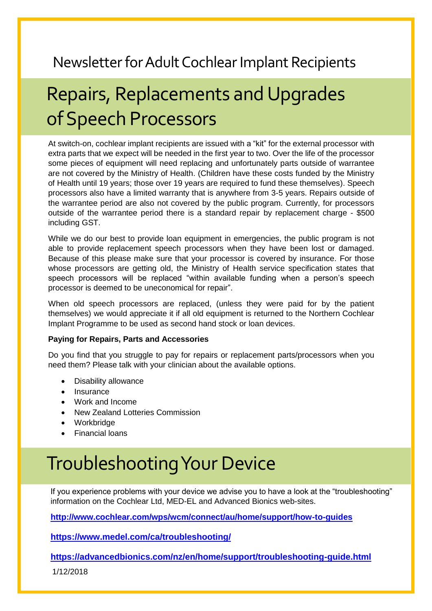# Repairs, Replacements and Upgrades of Speech Processors

At switch-on, cochlear implant recipients are issued with a "kit" for the external processor with extra parts that we expect will be needed in the first year to two. Over the life of the processor some pieces of equipment will need replacing and unfortunately parts outside of warrantee are not covered by the Ministry of Health. (Children have these costs funded by the Ministry of Health until 19 years; those over 19 years are required to fund these themselves). Speech processors also have a limited warranty that is anywhere from 3-5 years. Repairs outside of the warrantee period are also not covered by the public program. Currently, for processors outside of the warrantee period there is a standard repair by replacement charge - \$500 including GST.

While we do our best to provide loan equipment in emergencies, the public program is not able to provide replacement speech processors when they have been lost or damaged. Because of this please make sure that your processor is covered by insurance. For those whose processors are getting old, the Ministry of Health service specification states that speech processors will be replaced "within available funding when a person's speech processor is deemed to be uneconomical for repair".

When old speech processors are replaced, (unless they were paid for by the patient themselves) we would appreciate it if all old equipment is returned to the Northern Cochlear Implant Programme to be used as second hand stock or loan devices.

#### **Paying for Repairs, Parts and Accessories**

Do you find that you struggle to pay for repairs or replacement parts/processors when you need them? Please talk with your clinician about the available options.

- Disability allowance
- **Insurance**
- Work and Income
- New Zealand Lotteries Commission
- Workbridge
- Financial loans

## Troubleshooting Your Device

If you experience problems with your device we advise you to have a look at the "troubleshooting" information on the Cochlear Ltd, MED-EL and Advanced Bionics web-sites.

**<http://www.cochlear.com/wps/wcm/connect/au/home/support/how-to-guides>**

**<https://www.medel.com/ca/troubleshooting/>**

**<https://advancedbionics.com/nz/en/home/support/troubleshooting-guide.html>**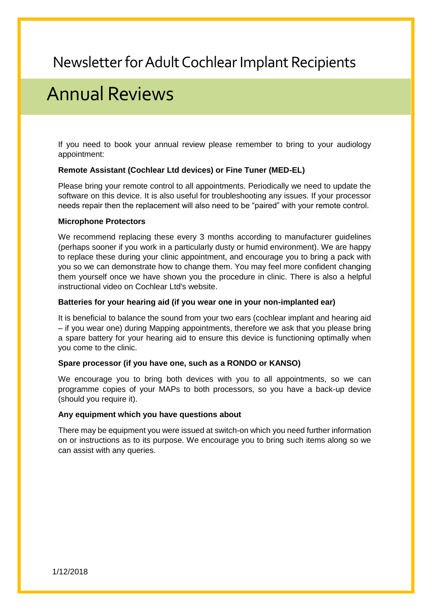### Annual Reviews

If you need to book your annual review please remember to bring to your audiology appointment:

#### **Remote Assistant (Cochlear Ltd devices) or Fine Tuner (MED-EL)**

Please bring your remote control to all appointments. Periodically we need to update the software on this device. It is also useful for troubleshooting any issues. If your processor needs repair then the replacement will also need to be "paired" with your remote control.

#### **Microphone Protectors**

We recommend replacing these every 3 months according to manufacturer guidelines (perhaps sooner if you work in a particularly dusty or humid environment). We are happy to replace these during your clinic appointment, and encourage you to bring a pack with you so we can demonstrate how to change them. You may feel more confident changing them yourself once we have shown you the procedure in clinic. There is also a helpful instructional video on Cochlear Ltd's website.

#### **Batteries for your hearing aid (if you wear one in your non-implanted ear)**

It is beneficial to balance the sound from your two ears (cochlear implant and hearing aid – if you wear one) during Mapping appointments, therefore we ask that you please bring a spare battery for your hearing aid to ensure this device is functioning optimally when you come to the clinic.

#### **Spare processor (if you have one, such as a RONDO or KANSO)**

We encourage you to bring both devices with you to all appointments, so we can programme copies of your MAPs to both processors, so you have a back-up device (should you require it).

#### **Any equipment which you have questions about**

There may be equipment you were issued at switch-on which you need further information on or instructions as to its purpose. We encourage you to bring such items along so we can assist with any queries.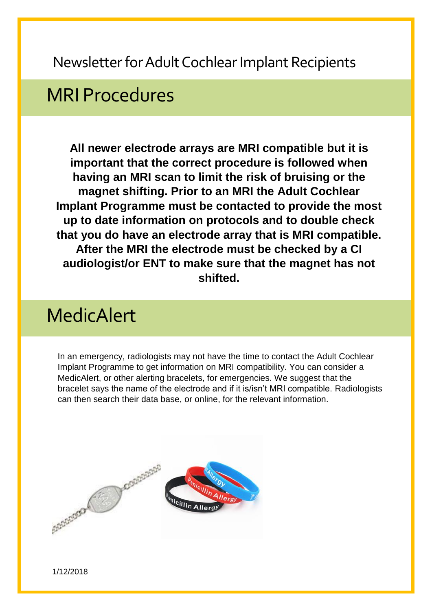### MRI Procedures

**All newer electrode arrays are MRI compatible but it is important that the correct procedure is followed when having an MRI scan to limit the risk of bruising or the magnet shifting. Prior to an MRI the Adult Cochlear Implant Programme must be contacted to provide the most up to date information on protocols and to double check that you do have an electrode array that is MRI compatible. After the MRI the electrode must be checked by a CI audiologist/or ENT to make sure that the magnet has not shifted.**

### MedicAlert

In an emergency, radiologists may not have the time to contact the Adult Cochlear Implant Programme to get information on MRI compatibility. You can consider a MedicAlert, or other alerting bracelets, for emergencies. We suggest that the bracelet says the name of the electrode and if it is/isn't MRI compatible. Radiologists can then search their data base, or online, for the relevant information.

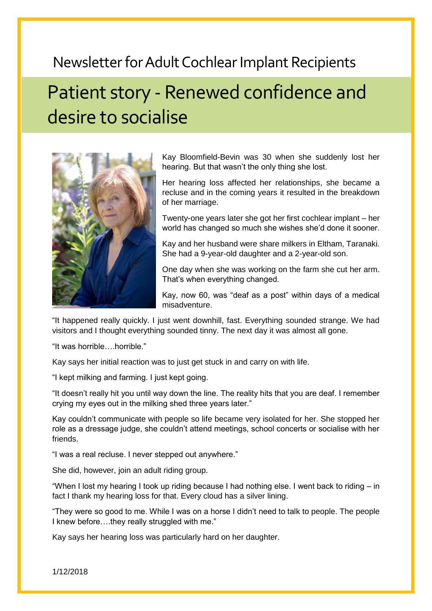## Patient story - Renewed confidence and desire to socialise



Kay Bloomfield-Bevin was 30 when she suddenly lost her hearing. But that wasn't the only thing she lost.

Her hearing loss affected her relationships, she became a recluse and in the coming years it resulted in the breakdown of her marriage.

Twenty-one years later she got her first cochlear implant – her world has changed so much she wishes she'd done it sooner.

Kay and her husband were share milkers in Eltham, Taranaki. She had a 9-year-old daughter and a 2-year-old son.

One day when she was working on the farm she cut her arm. That's when everything changed.

Kay, now 60, was "deaf as a post" within days of a medical misadventure.

"It happened really quickly. I just went downhill, fast. Everything sounded strange. We had visitors and I thought everything sounded tinny. The next day it was almost all gone.

"It was horrible….horrible."

Kay says her initial reaction was to just get stuck in and carry on with life.

"I kept milking and farming. I just kept going.

"It doesn't really hit you until way down the line. The reality hits that you are deaf. I remember crying my eyes out in the milking shed three years later."

Kay couldn't communicate with people so life became very isolated for her. She stopped her role as a dressage judge, she couldn't attend meetings, school concerts or socialise with her friends.

"I was a real recluse. I never stepped out anywhere."

She did, however, join an adult riding group.

"When I lost my hearing I took up riding because I had nothing else. I went back to riding – in fact I thank my hearing loss for that. Every cloud has a silver lining.

"They were so good to me. While I was on a horse I didn't need to talk to people. The people I knew before….they really struggled with me."

Kay says her hearing loss was particularly hard on her daughter.